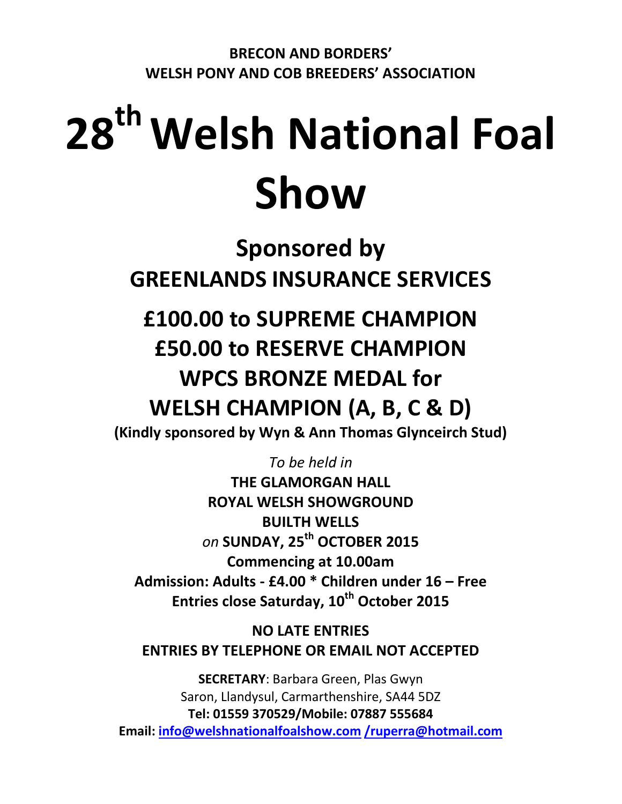**BRECON AND BORDERS' WELSH PONY AND COB BREEDERS' ASSOCIATION**

# **28 th Welsh National Foal Show**

**Sponsored by GREENLANDS INSURANCE SERVICES**

# **£100.00 to SUPREME CHAMPION £50.00 to RESERVE CHAMPION WPCS BRONZE MEDAL for WELSH CHAMPION (A, B, C & D)**

**(Kindly sponsored by Wyn & Ann Thomas Glynceirch Stud)**

*To be held in*  **THE GLAMORGAN HALL ROYAL WELSH SHOWGROUND BUILTH WELLS** *on* **SUNDAY, 25 th OCTOBER 2015 Commencing at 10.00am Admission: Adults - £4.00 \* Children under 16 – Free Entries close Saturday, 10 th October 2015**

**NO LATE ENTRIES ENTRIES BY TELEPHONE OR EMAIL NOT ACCEPTED**

**SECRETARY**: Barbara Green, Plas Gwyn Saron, Llandysul, Carmarthenshire, SA44 5DZ **Tel: 01559 370529/Mobile: 07887 555684 Email: [info@welshnationalfoalshow.com](mailto:info@welshnationalfoalshow.com) [/ruperra@hotmail.com](mailto:/ruperra@hotmail.com)**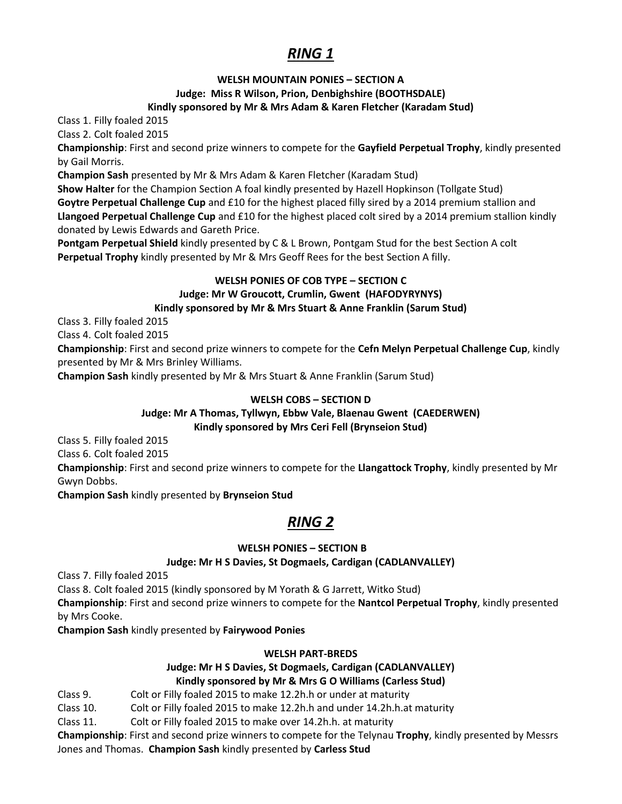## *RING 1*

#### **WELSH MOUNTAIN PONIES – SECTION A Judge: Miss R Wilson, Prion, Denbighshire (BOOTHSDALE) Kindly sponsored by Mr & Mrs Adam & Karen Fletcher (Karadam Stud)**

Class 1. Filly foaled 2015

Class 2. Colt foaled 2015

**Championship**: First and second prize winners to compete for the **Gayfield Perpetual Trophy**, kindly presented by Gail Morris.

**Champion Sash** presented by Mr & Mrs Adam & Karen Fletcher (Karadam Stud)

**Show Halter** for the Champion Section A foal kindly presented by Hazell Hopkinson (Tollgate Stud)

**Goytre Perpetual Challenge Cup** and £10 for the highest placed filly sired by a 2014 premium stallion and **Llangoed Perpetual Challenge Cup** and £10 for the highest placed colt sired by a 2014 premium stallion kindly donated by Lewis Edwards and Gareth Price.

**Pontgam Perpetual Shield** kindly presented by C & L Brown, Pontgam Stud for the best Section A colt **Perpetual Trophy** kindly presented by Mr & Mrs Geoff Rees for the best Section A filly.

#### **WELSH PONIES OF COB TYPE – SECTION C**

**Judge: Mr W Groucott, Crumlin, Gwent (HAFODYRYNYS)**

**Kindly sponsored by Mr & Mrs Stuart & Anne Franklin (Sarum Stud)**

Class 3. Filly foaled 2015

Class 4. Colt foaled 2015

**Championship**: First and second prize winners to compete for the **Cefn Melyn Perpetual Challenge Cup**, kindly presented by Mr & Mrs Brinley Williams.

**Champion Sash** kindly presented by Mr & Mrs Stuart & Anne Franklin (Sarum Stud)

#### **WELSH COBS – SECTION D**

**Judge: Mr A Thomas, Tyllwyn, Ebbw Vale, Blaenau Gwent (CAEDERWEN) Kindly sponsored by Mrs Ceri Fell (Brynseion Stud)**

Class 5. Filly foaled 2015

Class 6. Colt foaled 2015

**Championship**: First and second prize winners to compete for the **Llangattock Trophy**, kindly presented by Mr Gwyn Dobbs.

**Champion Sash** kindly presented by **Brynseion Stud**

# *RING 2*

#### **WELSH PONIES – SECTION B**

#### **Judge: Mr H S Davies, St Dogmaels, Cardigan (CADLANVALLEY)**

Class 7. Filly foaled 2015

Class 8. Colt foaled 2015 (kindly sponsored by M Yorath & G Jarrett, Witko Stud)

**Championship**: First and second prize winners to compete for the **Nantcol Perpetual Trophy**, kindly presented by Mrs Cooke.

**Champion Sash** kindly presented by **Fairywood Ponies**

#### **WELSH PART-BREDS**

# **Judge: Mr H S Davies, St Dogmaels, Cardigan (CADLANVALLEY)**

#### **Kindly sponsored by Mr & Mrs G O Williams (Carless Stud)**

Class 9. Colt or Filly foaled 2015 to make 12.2h.h or under at maturity

Class 10. Colt or Filly foaled 2015 to make 12.2h.h and under 14.2h.h.at maturity

Class 11. Colt or Filly foaled 2015 to make over 14.2h.h. at maturity

**Championship**: First and second prize winners to compete for the Telynau **Trophy**, kindly presented by Messrs Jones and Thomas. **Champion Sash** kindly presented by **Carless Stud**